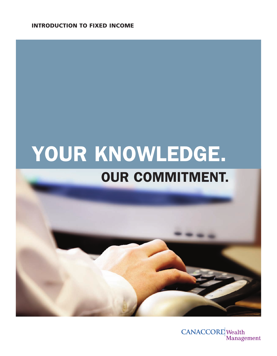**INTRODUCTION TO FIXED INCOME**

# **YOUR KNOWLEDGE. OUR COMMITMENT.**



**CANACCORD** Wealth Management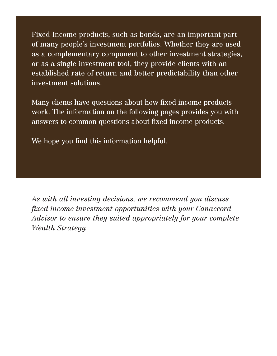Fixed Income products, such as bonds, are an important part of many people's investment portfolios. Whether they are used as a complementary component to other investment strategies, or as a single investment tool, they provide clients with an established rate of return and better predictability than other investment solutions.

Many clients have questions about how fixed income products work. The information on the following pages provides you with answers to common questions about fixed income products.

We hope you find this information helpful.

*As with all investing decisions, we recommend you discuss fixed income investment opportunities with your Canaccord Advisor to ensure they suited appropriately for your complete Wealth Strategy.*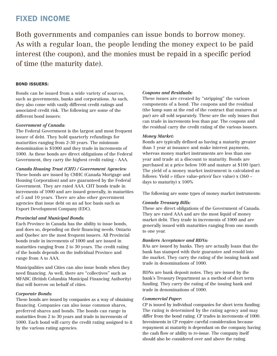## **FIXED INCOME**

Both governments and companies can issue bonds to borrow money. As with a regular loan, the people lending the money expect to be paid interest (the coupon), and the monies must be repaid in a specific period of time (the maturity date).

#### **BOND ISSUERS:**

Bonds can be issued from a wide variety of sources, such as governments, banks and corporations. As such, they also come with vastly different credit ratings and associated credit risk. The following are some of the different bond issuers:

#### *Government of Canada:*

The Federal Government is the largest and most frequent issuer of debt. They hold quarterly refundings for maturities ranging from 2-30 years. The minimum denomination is \$1000 and they trade in increments of 1000. As these bonds are direct obligations of the Federal Government, they carry the highest credit rating - AAA.

*Canada Housing Trust (CHT) / Government Agencies:* These bonds are issued by CMHC (Canada Mortgage and Housing Corporation) and are guaranteed by the Federal Government. They are rated AAA. CHT bonds trade in increments of 1000 and are issued generally, in maturities of 5 and 10 years. There are also other government agencies that issue debt on an ad hoc basis such as Export Development Company (EDC).

#### *Provincial and Municipal Bonds:*

Each Province in Canada has the ability to issue bonds, and does so, depending on their financing needs. Ontario and Quebec are the most frequent issuers. All Provincial bonds trade in increments of 1000 and are issued in maturities ranging from 2 to 30 years. The credit rating of the bonds depends on the individual Province and range from A to AAA.

Municipalities and Cities can also issue bonds when they need financing. As well, there are "collectives" such as MFABC (British Columbia Municipal Financing Authority) that will borrow on behalf of cities.

#### *Corporate Bonds:*

These bonds are issued by companies as a way of obtaining financing. Companies can also issue common shares, preferred shares and bonds. The bonds can range in maturities from 2 to 30 years and trade in increments of 1000. Each bond will carry the credit rating assigned to it by the various rating agencies.

#### *Coupons and Residuals:*

These issues are created by "stripping" the various components of a bond. The coupons and the residual (the lump sum at the end of the contract that matures at par) are all sold separately. These are the only issues that can trade in increments less than par. The coupons and the residual carry the credit rating of the various issuers.

#### *Money Market:*

Bonds are typically defined as having a maturity greater than 1 year at issuance and make interest payments, whereas money market instruments are less than one year and trade at a discount to maturity. Bonds are purchased at a price below 100 and mature at \$100 (par). The yield of a money market instrument is calculated as follows: Yield =  $((face value-price) / face value) \times (360$ days to maturity) x 100%

The following are some types of money market instruments:

#### *Canada Treasury Bills:*

These are direct obligations of the Government of Canada. They are rated AAA and are the most liquid of money market debt. They trade in increments of 1000 and are generally issued with maturities ranging from one month to one year.

#### *Bankers Acceptance and BDNs:*

BAs are issued by banks. They are actually loans that the bank has stamped with their guarantee and resold into the market. They carry the rating of the issuing bank and trade in denominations of 1000.

BDNs are bank deposit notes. They are issued by the bank's Treasury Department as a method of short term funding. They carry the rating of the issuing bank and trade in denominations of 1000.

#### *Commercial Paper:*

CP is issued by individual companies for short term funding. The rating is determined by the rating agency and may differ from the bond rating. CP trades in increments of 1000. Investments in CP require careful consideration because repayment at maturity is dependant on the company having the cash flow or ability to re-issue. The company itself should also be considered over and above the rating.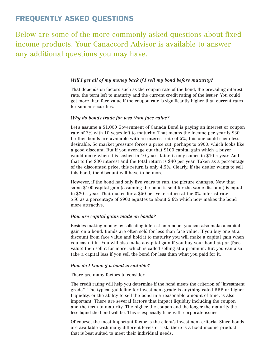## **FREQUENTLY ASKED QUESTIONS**

Below are some of the more commonly asked questions about fixed income products. Your Canaccord Advisor is available to answer any additional questions you may have.

#### *Will I get all of my money back if I sell my bond before maturity?*

That depends on factors such as the coupon rate of the bond, the prevailing interest rate, the term left to maturity and the current credit rating of the issuer. You could get more than face value if the coupon rate is significantly higher than current rates for similar securities.

#### *Why do bonds trade for less than face value?*

Let's assume a \$1,000 Government of Canada Bond is paying an interest or coupon rate of 3% with 10 years left to maturity. That means the income per year is \$30. If other bonds are available with an interest rate of 5%, this one could seem less desirable. So market pressure forces a price cut, perhaps to \$900, which looks like a good discount. But if you average out that \$100 capital gain which a buyer would make when it is cashed in 10 years later, it only comes to \$10 a year. Add that to the \$30 interest and the total return is \$40 per year. Taken as a percentage of the discounted price, this return is only 4.5%. Clearly, if the dealer wants to sell this bond, the discount will have to be more.

However, if the bond had only five years to run, the picture changes. Now that same \$100 capital gain (assuming the bond is sold for the same discount) is equal to \$20 a year. That makes for a \$50 per year return at the 3% interest rate. \$50 as a percentage of \$900 equates to about 5.6% which now makes the bond more attractive.

#### *How are capital gains made on bonds?*

Besides making money by collecting interest on a bond, you can also make a capital gain on a bond. Bonds are often sold for less than face value. If you buy one at a discount from face value and hold it to maturity you will make a capital gain when you cash it in. You will also make a capital gain if you buy your bond at par (face value) then sell it for more, which is called selling at a premium. But you can also take a capital loss if you sell the bond for less than what you paid for it.

#### *How do I know if a bond is suitable?*

There are many factors to consider.

The credit rating will help you determine if the bond meets the criterion of "investment grade". The typical guideline for investment grade is anything rated BBB or higher. Liquidity, or the ability to sell the bond in a reasonable amount of time, is also important. There are several factors that impact liquidity including the coupon and the term to maturity. The higher the coupon and the longer the maturity the less liquid the bond will be. This is especially true with corporate issues.

Of course, the most important factor is the client's investment criteria. Since bonds are available with many different levels of risk, there is a fixed income product that is best suited to meet their individual needs.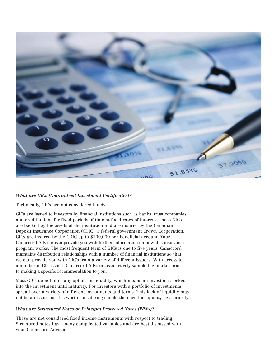

#### *What are GICs (Guaranteed Investment Certificates)?*

Technically, GICs are not considered bonds.

GICs are issued to investors by financial institutions such as banks, trust companies and credit unions for fixed periods of time at fixed rates of interest. These GICs are backed by the assets of the institution and are insured by the Canadian Deposit Insurance Corporation (CDIC), a federal government Crown Corporation. GICs are insured by the CDIC up to \$100,000 per beneficial account. Your Canaccord Advisor can provide you with further information on how this insurance program works. The most frequent term of GICs is one to five years. Canaccord maintains distribution relationships with a number of financial institutions so that we can provide you with GIC's from a variety of different issuers. With access to a number of GIC issuers Canaccord Advisors can actively sample the market prior to making a specific recommendation to you.

Most GICs do not offer any option for liquidity, which means an investor is locked into the investment until maturity. For investors with a portfolio of investments spread over a variety of different investments and terms. This lack of liquidity may not be an issue, but it is worth considering should the need for liquidity be a priority.

#### *What are Structured Notes or Principal Protected Notes (PPNs)?*

These are not considered fixed income instruments with respect to trading. Structured notes have many complicated variables and are best discussed with your Canaccord Advisor.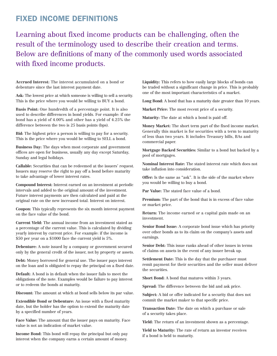### **FIXED INCOME DEFINITIONS**

Learning about fixed income products can be challenging, often the result of the terminology used to describe their creation and terms. Below are definitions of many of the commonly used words associated with fixed income products.

**Accrued Interest:** The interest accumulated on a bond or debenture since the last interest payment date.

**Ask:** The lowest price at which someone is willing to sell a security. This is the price where you would be willing to BUY a bond.

**Basis Point:** One hundredth of a percentage point. It is also used to describe differences in bond yields. For example: if one bond has a yield of 4.00% and other has a yield of 4.25% the difference between the two is 25 basis points (bps).

**Bid:** The highest price a person is willing to pay for a security. This is the price where you would be willing to SELL a bond.

**Business Day:** The days when most corporate and government offices are open for business, usually any day except Saturday, Sunday and legal holidays.

**Callable:** Securities that can be redeemed at the issuers' request. Issuers may reserve the right to pay off a bond before maturity to take advantage of lower interest rates.

**Compound Interest:** Interest earned on an investment at periodic intervals and added to the original amount of the investment. Future interest payments are then calculated and paid at the original rate on the new increased total. Interest on interest.

**Coupon:** This typically represents the six month interest payment on the face value of the bond.

**Current Yield:** The annual income from an investment stated as a percentage of the current value. This is calculated by dividing yearly interest by current price. For example: if the income is \$50 per year on a \$1000 face the current yield is 5%.

**Debenture:** A note issued by a company or government secured only by the general credit of the issuer, not by property or assets.

**Debt:** Money borrowed for general use. The issuer pays interest on the loan and is obligated to repay the principal on a fixed date.

**Default:** A bond is in default when the issuer fails to meet the obligations of the note. Examples would be failure to pay interest or to redeem the bonds at maturity.

**Discount:** The amount at which at bond sells below its par value.

**Extendible Bond or Debenture:** An issue with a fixed maturity date, but the holder has the option to extend the maturity date by a specified number of years.

**Face Value:** The amount that the issuer pays on maturity. Face value is not an indication of market value.

**Income Bond:** This bond will repay the principal but only pay interest when the company earns a certain amount of money. **Liquidity:** This refers to how easily large blocks of bonds can be traded without a significant change in price. This is probably one of the most important characteristics of a market.

**Long Bond:** A bond that has a maturity date greater than 10 years.

**Market Price:** The most recent price of a security.

**Maturity:** The date at which a bond is paid off.

**Money Market:** The short term part of the fixed income market. Generally this market is for securities with a term to maturity of less than two years. It includes Treasury bills, BAs and commercial paper.

**Mortgage Backed Securities:** Similar to a bond but backed by a pool of mortgages.

**Nominal Interest Rate:** The stated interest rate which does not take inflation into consideration.

**Offer:** Is the same as "ask". It is the side of the market where you would be willing to buy a bond.

**Par Value:** The stated face value of a bond.

Premium: The part of the bond that is in excess of face value or market price.

**Return:** The income earned or a capital gain made on an investment.

**Senior Bond Issue:** A corporate bond issue which has priority over other bonds as to its claim on the company's assets and earnings.

**Senior Debt:** This issue ranks ahead of other issues in terms of claims on assets in the event of any issuer break up.

**Settlement Date:** This is the day that the purchaser must remit payment for their securities and the seller must deliver the securities.

**Short Bond:** A bond that matures within 3 years.

**Spread:** The difference between the bid and ask price.

**Subject:** A bid or offer indicated for a security that does not commit the market maker to that specific price.

**Transaction Date:** The date on which a purchase or sale of a security takes place.

**Yield:** The return of an investment shown as a percentage.

**Yield to Maturity:** The rate of return an investor receives if a bond is held to maturity.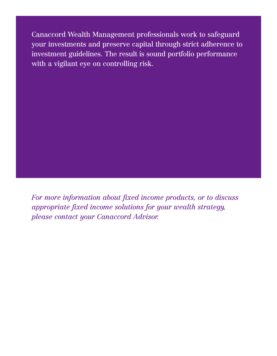Canaccord Wealth Management professionals work to safeguard your investments and preserve capital through strict adherence to investment guidelines. The result is sound portfolio performance with a vigilant eye on controlling risk.

*For more information about fixed income products, or to discuss appropriate fixed income solutions for your wealth strategy, please contact your Canaccord Advisor.*